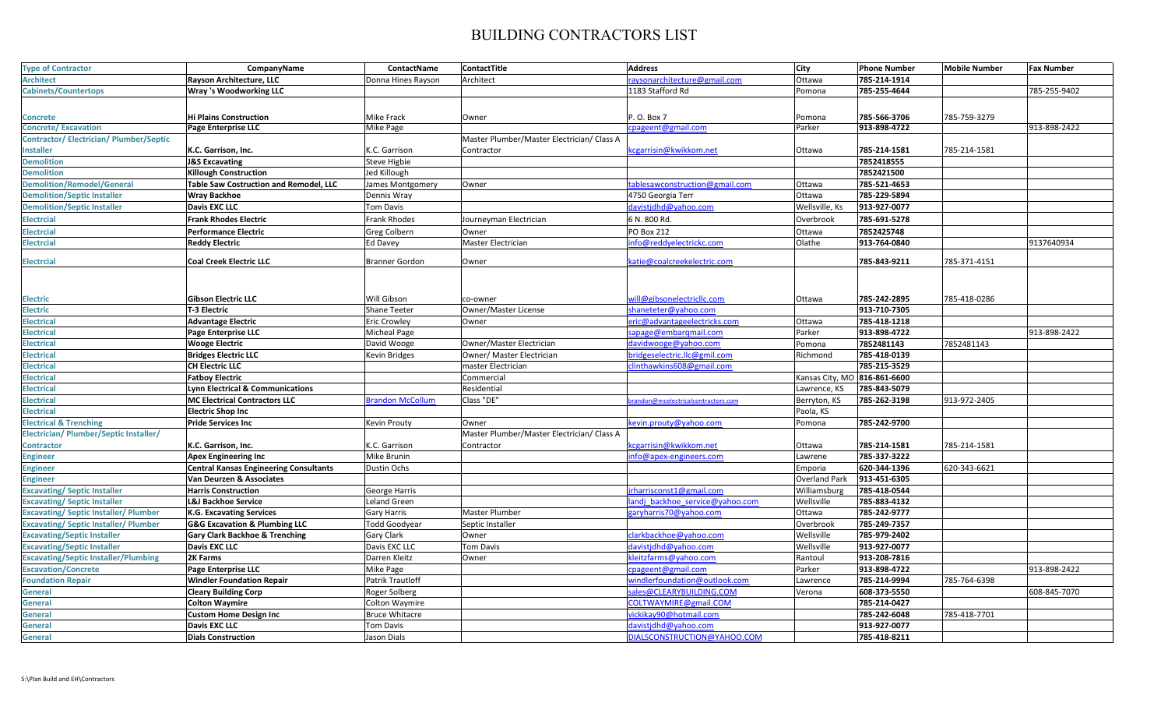## BUILDING CONTRACTORS LIST

| <b>Type of Contractor</b>                    | CompanyName                                   | ContactName             | <b>ContactTitle</b>                        | <b>Address</b>                     | <b>City</b>                  | <b>Phone Number</b> | <b>Mobile Number</b> | <b>Fax Number</b> |
|----------------------------------------------|-----------------------------------------------|-------------------------|--------------------------------------------|------------------------------------|------------------------------|---------------------|----------------------|-------------------|
| <b>Architect</b>                             | Rayson Architecture, LLC                      | Donna Hines Rayson      | Architect                                  | raysonarchitecture@gmail.com       | Ottawa                       | 785-214-1914        |                      |                   |
| <b>Cabinets/Countertops</b>                  | <b>Wray 's Woodworking LLC</b>                |                         |                                            | 1183 Stafford Rd                   | Pomona                       | 785-255-4644        |                      | 785-255-9402      |
|                                              |                                               |                         |                                            |                                    |                              |                     |                      |                   |
| Concrete                                     | <b>Hi Plains Construction</b>                 | Mike Frack              | Owner                                      | P. O. Box 7                        | Pomona                       | 785-566-3706        | 785-759-3279         |                   |
| <b>Concrete/Excavation</b>                   | Page Enterprise LLC                           | Mike Page               |                                            | cpageent@gmail.com                 | Parker                       | 913-898-4722        |                      | 913-898-2422      |
| <b>Contractor/Electrician/Plumber/Septic</b> |                                               |                         | Master Plumber/Master Electrician/ Class A |                                    |                              |                     |                      |                   |
| <b>Installer</b>                             | K.C. Garrison, Inc.                           | K.C. Garrison           | Contractor                                 | cgarrisin@kwikkom.net              | Ottawa                       | 785-214-1581        | 785-214-1581         |                   |
| <b>Demolition</b>                            | <b>J&amp;S Excavating</b>                     | <b>Steve Higbie</b>     |                                            |                                    |                              | 7852418555          |                      |                   |
| <b>Demolition</b>                            | <b>Killough Construction</b>                  | Jed Killough            |                                            |                                    |                              | 7852421500          |                      |                   |
| <b>Demolition/Remodel/General</b>            | <b>Table Saw Costruction and Remodel, LLC</b> | lames Montgomery        | Owner                                      | tablesawconstruction@gmail.com     | Ottawa                       | 785-521-4653        |                      |                   |
| <b>Demolition/Septic Installer</b>           | Wray Backhoe                                  | Dennis Wray             |                                            | 4750 Georgia Terr                  | Ottawa                       | 785-229-5894        |                      |                   |
| <b>Demolition/Septic Installer</b>           | Davis EXC LLC                                 | Tom Davis               |                                            | davistidhd@yahoo.com               | Wellsville, Ks               | 913-927-0077        |                      |                   |
| <b>Electrcial</b>                            | <b>Frank Rhodes Electric</b>                  | Frank Rhodes            | Journeyman Electrician                     | 6 N. 800 Rd.                       | Overbrook                    | 785-691-5278        |                      |                   |
| <b>Electrcial</b>                            | <b>Performance Electric</b>                   | Greg Colbern            | Owner                                      | <b>PO Box 212</b>                  | Ottawa                       | 7852425748          |                      |                   |
| <b>Electrcial</b>                            | <b>Reddy Electric</b>                         | <b>Ed Davey</b>         | <b>Master Electrician</b>                  | nfo@reddyelectrickc.com            | Olathe                       | 913-764-0840        |                      | 9137640934        |
|                                              |                                               |                         |                                            |                                    |                              |                     |                      |                   |
| <b>Electrcial</b>                            | <b>Coal Creek Electric LLC</b>                | Branner Gordon          | Owner                                      | catie@coalcreekelectric.com        |                              | 785-843-9211        | 785-371-4151         |                   |
|                                              |                                               |                         |                                            |                                    |                              |                     |                      |                   |
|                                              |                                               |                         |                                            |                                    |                              |                     |                      |                   |
| Electric                                     | <b>Gibson Electric LLC</b>                    | Will Gibson             | co-owner                                   | will@gibsonelectricllc.com         | Ottawa                       | 785-242-2895        | 785-418-0286         |                   |
| Electric                                     | T-3 Electric                                  | Shane Teeter            | Owner/Master License                       | shaneteter@yahoo.com               |                              | 913-710-7305        |                      |                   |
| <b>Electrical</b>                            | <b>Advantage Electric</b>                     | <b>Eric Crowley</b>     | Owner                                      | eric@advantageelectricks.com       | Ottawa                       | 785-418-1218        |                      |                   |
| <b>Electrical</b>                            | Page Enterprise LLC                           | <b>Micheal Page</b>     |                                            | sapage@embargmail.com              | Parker                       | 913-898-4722        |                      | 913-898-2422      |
| <b>Electrical</b>                            | <b>Wooge Electric</b>                         | David Wooge             | Owner/Master Electrician                   | davidwooge@yahoo.com               | Pomona                       | 7852481143          | 7852481143           |                   |
| <b>Electrical</b>                            | <b>Bridges Electric LLC</b>                   | Kevin Bridges           | Owner/ Master Electrician                  | oridgeselectric.llc@gmil.com       | Richmond                     | 785-418-0139        |                      |                   |
| <b>Electrical</b>                            | <b>CH Electric LLC</b>                        |                         | master Electrician                         | linthawkins608@gmail.com           |                              | 785-215-3529        |                      |                   |
| <b>Electrical</b>                            | <b>Fatboy Electric</b>                        |                         | Commercial                                 |                                    | Kansas City, MO 816-861-6600 |                     |                      |                   |
| <b>Electrical</b>                            | <b>Lynn Electrical &amp; Communications</b>   |                         | Residential                                |                                    | Lawrence, KS                 | 785-843-5079        |                      |                   |
| <b>Electrical</b>                            | <b>MC Electrical Contractors LLC</b>          | <b>Brandon McCollum</b> | Class "DE"                                 | randon@mcelectricalcontractors.com | Berryton, KS                 | 785-262-3198        | 913-972-2405         |                   |
| <b>Electrical</b>                            | <b>Electric Shop Inc</b>                      |                         |                                            |                                    | Paola, KS                    |                     |                      |                   |
| <b>Electrical &amp; Trenching</b>            | <b>Pride Services Inc</b>                     | Kevin Prouty            | Owner                                      | evin.prouty@yahoo.com              | Pomona                       | 785-242-9700        |                      |                   |
| Electrician/ Plumber/Septic Installer/       |                                               |                         | Master Plumber/Master Electrician/ Class A |                                    |                              |                     |                      |                   |
| Contractor                                   | K.C. Garrison, Inc.                           | K.C. Garrison           | Contractor                                 | cegarrisin@kwikkom.net             | Ottawa                       | 785-214-1581        | 785-214-1581         |                   |
| <b>Engineer</b>                              | <b>Apex Engineering Inc</b>                   | Mike Brunin             |                                            | nfo@apex-engineers.com             | Lawrene                      | 785-337-3222        |                      |                   |
| <b>Engineer</b>                              | <b>Central Kansas Engineering Consultants</b> | Dustin Ochs             |                                            |                                    | Emporia                      | 620-344-1396        | 620-343-6621         |                   |
| <b>Engineer</b>                              | Van Deurzen & Associates                      |                         |                                            |                                    | <b>Overland Park</b>         | 913-451-6305        |                      |                   |
| <b>Excavating/ Septic Installer</b>          | <b>Harris Construction</b>                    | George Harris           |                                            | rharrisconst1@gmail.com            | Williamsburg                 | 785-418-0544        |                      |                   |
| <b>Excavating/Septic Installer</b>           | <b>L&amp;J Backhoe Service</b>                | Leland Green            |                                            | andj backhoe service@yahoo.com     | Wellsville                   | 785-883-4132        |                      |                   |
| <b>Excavating/Septic Installer/Plumber</b>   | K.G. Excavating Services                      | Gary Harris             | <b>Master Plumber</b>                      | garyharris70@yahoo.com             | Ottawa                       | 785-242-9777        |                      |                   |
| <b>Excavating/Septic Installer/Plumber</b>   | <b>G&amp;G Excavation &amp; Plumbing LLC</b>  | Todd Goodyear           | Septic Installer                           |                                    | Overbrook                    | 785-249-7357        |                      |                   |
| <b>Excavating/Septic Installer</b>           | <b>Gary Clark Backhoe &amp; Trenching</b>     | Gary Clark              | Owner                                      | clarkbackhoe@yahoo.com             | Wellsville                   | 785-979-2402        |                      |                   |
| <b>Excavating/Septic Installer</b>           | <b>Davis EXC LLC</b>                          | Davis EXC LLC           | <b>Tom Davis</b>                           | davistidhd@yahoo.com               | Wellsville                   | 913-927-0077        |                      |                   |
| <b>Excavating/Septic Installer/Plumbing</b>  | 2K Farms                                      | Darren Kleitz           | Owner                                      | leitzfarms@yahoo.com               | Rantoul                      | 913-208-7816        |                      |                   |
| <b>Excavation/Concrete</b>                   | Page Enterprise LLC                           | Mike Page               |                                            | cpageent@gmail.com                 | Parker                       | 913-898-4722        |                      | 913-898-2422      |
| <b>Foundation Repair</b>                     | <b>Windler Foundation Repair</b>              | Patrik Trautloff        |                                            | windlerfoundation@outlook.com      | Lawrence                     | 785-214-9994        | 785-764-6398         |                   |
| <b>General</b>                               | <b>Cleary Building Corp</b>                   | Roger Solberg           |                                            | sales@CLEARYBUILDING.COM           | Verona                       | 608-373-5550        |                      | 608-845-7070      |
| <b>General</b>                               | <b>Colton Waymire</b>                         | Colton Waymire          |                                            | COLTWAYMIRE@gmail.COM              |                              | 785-214-0427        |                      |                   |
| General                                      | <b>Custom Home Design Inc</b>                 | <b>Bruce Whitacre</b>   |                                            | ickikay90@hotmail.com              |                              | 785-242-6048        | 785-418-7701         |                   |
| General                                      | <b>Davis EXC LLC</b>                          | Tom Davis               |                                            | davistidhd@yahoo.com               |                              | 913-927-0077        |                      |                   |
| General                                      | <b>Dials Construction</b>                     | Jason Dials             |                                            | DIALSCONSTRUCTION@YAHOO.COM        |                              | 785-418-8211        |                      |                   |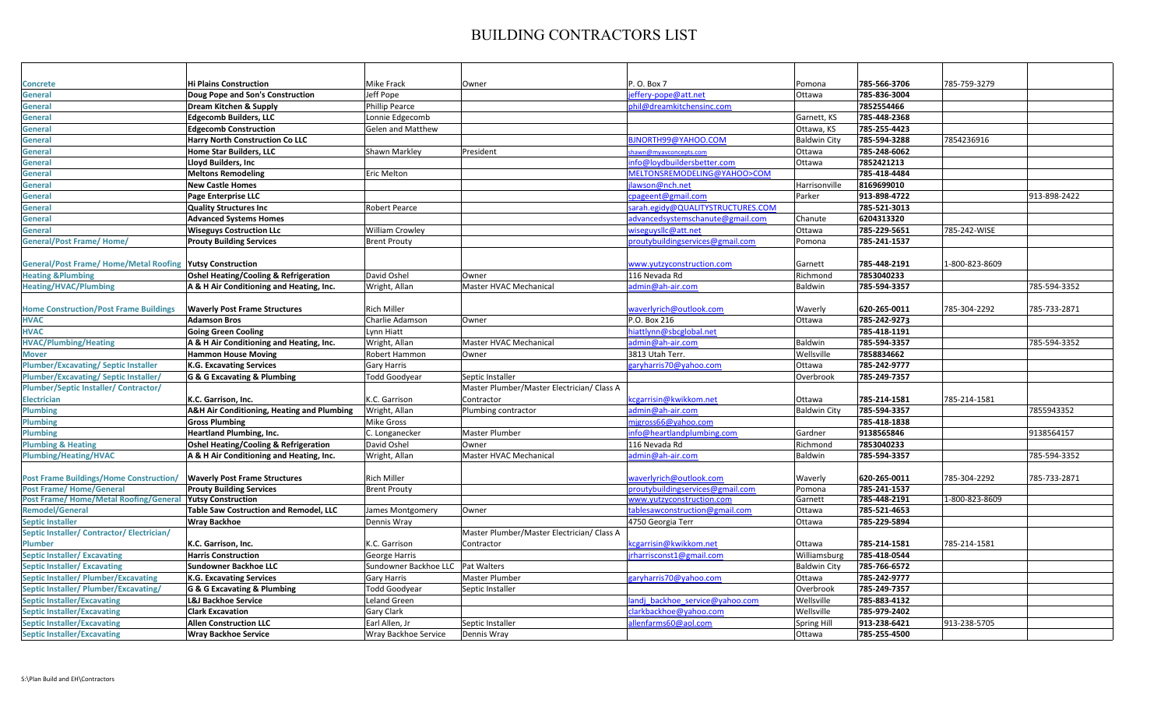## BUILDING CONTRACTORS LIST

| Concrete                                                  | <b>Hi Plains Construction</b>                         | <b>Mike Frack</b>        | Owner                                      | P. O. Box 7                           | Pomona              | 785-566-3706 | 785-759-3279   |              |
|-----------------------------------------------------------|-------------------------------------------------------|--------------------------|--------------------------------------------|---------------------------------------|---------------------|--------------|----------------|--------------|
| <b>General</b>                                            | Doug Pope and Son's Construction                      | Jeff Pope                |                                            | effery-pope@att.net                   | Ottawa              | 785-836-3004 |                |              |
| <b>General</b>                                            | Dream Kitchen & Supply                                | <b>Phillip Pearce</b>    |                                            | ohil@dreamkitchensinc.com             |                     | 7852554466   |                |              |
| <b>General</b>                                            | <b>Edgecomb Builders, LLC</b>                         | Lonnie Edgecomb          |                                            |                                       | Garnett, KS         | 785-448-2368 |                |              |
| <b>General</b>                                            | <b>Edgecomb Construction</b>                          | <b>Gelen and Matthew</b> |                                            |                                       | Ottawa, KS          | 785-255-4423 |                |              |
| <b>General</b>                                            | <b>Harry North Construction Co LLC</b>                |                          |                                            | BJNORTH99@YAHOO.COM                   | <b>Baldwin City</b> | 785-594-3288 | 7854236916     |              |
| General                                                   | <b>Home Star Builders, LLC</b>                        | Shawn Markley            | President                                  | hawn@myavconcepts.com                 | Ottawa              | 785-248-6062 |                |              |
| <b>General</b>                                            | Lloyd Builders, Inc.                                  |                          |                                            | nfo@loydbuildersbetter.com            | Ottawa              | 7852421213   |                |              |
| General                                                   | <b>Meltons Remodeling</b>                             | Eric Melton              |                                            | <b>MELTONSREMODELING@YAHOO&gt;COM</b> |                     | 785-418-4484 |                |              |
| <b>General</b>                                            | <b>New Castle Homes</b>                               |                          |                                            | lawson@nch.net                        | Harrisonville       | 8169699010   |                |              |
| General                                                   | <b>Page Enterprise LLC</b>                            |                          |                                            | pageent@gmail.com                     | Parker              | 913-898-4722 |                | 913-898-2422 |
| <b>General</b>                                            | Quality Structures Inc                                | <b>Robert Pearce</b>     |                                            | sarah.egidy@QUALITYSTRUCTURES.COM     |                     | 785-521-3013 |                |              |
|                                                           |                                                       |                          |                                            | advancedsystemschanute@gmail.com      | Chanute             | 6204313320   |                |              |
| <b>General</b>                                            | <b>Advanced Systems Homes</b>                         |                          |                                            |                                       |                     |              |                |              |
| General                                                   | <b>Wiseguys Costruction LLc</b>                       | <b>William Crowley</b>   |                                            | wiseguysllc@att.net                   | Ottawa              | 785-229-5651 | 785-242-WISE   |              |
| <b>General/Post Frame/ Home/</b>                          | <b>Prouty Building Services</b>                       | <b>Brent Prouty</b>      |                                            | proutybuildingservices@gmail.com      | Pomona              | 785-241-1537 |                |              |
|                                                           |                                                       |                          |                                            |                                       |                     |              |                |              |
| General/Post Frame/ Home/Metal Roofing Yutsy Construction |                                                       |                          |                                            | www.yutzyconstruction.com             | Garnett             | 785-448-2191 | 1-800-823-8609 |              |
| <b>Heating &amp; Plumbing</b>                             | <b>Oshel Heating/Cooling &amp; Refrigeration</b>      | David Oshel              | Owner                                      | 116 Nevada Rd                         | Richmond            | 7853040233   |                |              |
| <b>Heating/HVAC/Plumbing</b>                              | A & H Air Conditioning and Heating, Inc.              | Wright, Allan            | Master HVAC Mechanical                     | admin@ah-air.com                      | Baldwin             | 785-594-3357 |                | 785-594-3352 |
|                                                           |                                                       |                          |                                            |                                       |                     |              |                |              |
| <b>Home Construction/Post Frame Buildings</b>             | <b>Waverly Post Frame Structures</b>                  | <b>Rich Miller</b>       |                                            | waverlyrich@outlook.com               | Waverly             | 620-265-0011 | 785-304-2292   | 785-733-2871 |
| <b>HVAC</b>                                               | <b>Adamson Bros</b>                                   | Charlie Adamson          | Owner                                      | P.O. Box 216                          | Ottawa              | 785-242-9273 |                |              |
| <b>HVAC</b>                                               | <b>Going Green Cooling</b>                            | Lynn Hiatt               |                                            | iattlynn@sbcglobal.net                |                     | 785-418-1191 |                |              |
| <b>HVAC/Plumbing/Heating</b>                              | A & H Air Conditioning and Heating, Inc.              | Wright, Allan            | Master HVAC Mechanical                     | admin@ah-air.com                      | Baldwin             | 785-594-3357 |                | 785-594-3352 |
| <b>Mover</b>                                              | <b>Hammon House Moving</b>                            | Robert Hammon            | Owner                                      | 3813 Utah Terr.                       | Wellsville          | 7858834662   |                |              |
| <b>Plumber/Excavating/Septic Installer</b>                | <b>K.G. Excavating Services</b>                       | <b>Gary Harris</b>       |                                            | garyharris70@yahoo.com                | Ottawa              | 785-242-9777 |                |              |
| <b>Plumber/Excavating/Septic Installer/</b>               | G & G Excavating & Plumbing                           | <b>Todd Goodyear</b>     | Septic Installer                           |                                       | Overbrook           | 785-249-7357 |                |              |
| Plumber/Septic Installer/ Contractor/                     |                                                       |                          | Master Plumber/Master Electrician/ Class A |                                       |                     |              |                |              |
| <b>Electrician</b>                                        | <b>IK.C. Garrison. Inc.</b>                           | K.C. Garrison            | Contractor                                 | ccgarrisin@kwikkom.net                | Ottawa              | 785-214-1581 | 785-214-1581   |              |
| <b>Plumbing</b>                                           | <b>A&amp;H Air Conditioning, Heating and Plumbing</b> | Wright, Allan            | Plumbing contractor                        | admin@ah-air.com                      | <b>Baldwin City</b> | 785-594-3357 |                | 7855943352   |
| <b>Plumbing</b>                                           | <b>Gross Plumbing</b>                                 | <b>Mike Gross</b>        |                                            | migross66@vahoo.com                   |                     | 785-418-1838 |                |              |
| <b>Plumbing</b>                                           | <b>Heartland Plumbing, Inc.</b>                       | C. Longanecker           | <b>Master Plumber</b>                      | nfo@heartlandplumbing.com             | Gardner             | 9138565846   |                | 9138564157   |
| <b>Plumbing &amp; Heating</b>                             | <b>Oshel Heating/Cooling &amp; Refrigeration</b>      | David Oshel              | Owner                                      | 116 Nevada Rd                         | Richmond            | 7853040233   |                |              |
| <b>Plumbing/Heating/HVAC</b>                              | A & H Air Conditioning and Heating, Inc.              | Wright, Allan            | Master HVAC Mechanical                     | admin@ah-air.com                      | Baldwin             | 785-594-3357 |                | 785-594-3352 |
|                                                           |                                                       |                          |                                            |                                       |                     |              |                |              |
| <b>Post Frame Buildings/Home Construction/</b>            | <b>Waverly Post Frame Structures</b>                  | <b>Rich Miller</b>       |                                            | waverlyrich@outlook.com               | Waverly             | 620-265-0011 | 785-304-2292   | 785-733-2871 |
| <b>Post Frame/Home/General</b>                            | <b>Prouty Building Services</b>                       | <b>Brent Prouty</b>      |                                            | proutybuildingservices@gmail.com      | Pomona              | 785-241-1537 |                |              |
| Post Frame/Home/Metal Roofing/General                     | <b>Yutsy Construction</b>                             |                          |                                            | www.yutzyconstruction.com             | Garnett             | 785-448-2191 | 1-800-823-8609 |              |
| <b>Remodel/General</b>                                    | Table Saw Costruction and Remodel, LLC                | James Montgomery         | Owner                                      | tablesawconstruction@gmail.com        | Ottawa              | 785-521-4653 |                |              |
| <b>Septic Installer</b>                                   | Wray Backhoe                                          | Dennis Wray              |                                            | 4750 Georgia Terr                     | Ottawa              | 785-229-5894 |                |              |
| Septic Installer/ Contractor/ Electrician/                |                                                       |                          | Master Plumber/Master Electrician/ Class A |                                       |                     |              |                |              |
| <b>Plumber</b>                                            | K.C. Garrison, Inc.                                   | K.C. Garrison            | Contractor                                 | kcgarrisin@kwikkom.net                | Ottawa              | 785-214-1581 | 785-214-1581   |              |
| <b>Septic Installer/Excavating</b>                        | <b>Harris Construction</b>                            | George Harris            |                                            | irharrisconst1@gmail.com              | Williamsburg        | 785-418-0544 |                |              |
| <b>Septic Installer/Excavating</b>                        | <b>Sundowner Backhoe LLC</b>                          | Sundowner Backhoe LLC    | Pat Walters                                |                                       | <b>Baldwin City</b> | 785-766-6572 |                |              |
| <b>Septic Installer/ Plumber/Excavating</b>               | K.G. Excavating Services                              | <b>Gary Harris</b>       | Master Plumber                             | garyharris 70@ vahoo.com              | Ottawa              | 785-242-9777 |                |              |
| Septic Installer/ Plumber/Excavating/                     | G & G Excavating & Plumbing                           | <b>Todd Goodyear</b>     | Septic Installer                           |                                       | Overbrook           | 785-249-7357 |                |              |
| <b>Septic Installer/Excavating</b>                        | L&J Backhoe Service                                   | <b>Leland Green</b>      |                                            | landi backhoe service@yahoo.com       | Wellsville          | 785-883-4132 |                |              |
| <b>Septic Installer/Excavating</b>                        | <b>Clark Excavation</b>                               | <b>Gary Clark</b>        |                                            | clarkbackhoe@yahoo.com                | Wellsville          | 785-979-2402 |                |              |
|                                                           | <b>Allen Construction LLC</b>                         | Earl Allen. Jr           | Septic Installer                           |                                       |                     | 913-238-6421 | 913-238-5705   |              |
| <b>Septic Installer/Excavating</b>                        |                                                       |                          |                                            | allenfarms60@aol.com                  | <b>Spring Hill</b>  |              |                |              |
| <b>Septic Installer/Excavating</b>                        | <b>Wray Backhoe Service</b>                           | Wray Backhoe Service     | Dennis Wray                                |                                       | Ottawa              | 785-255-4500 |                |              |